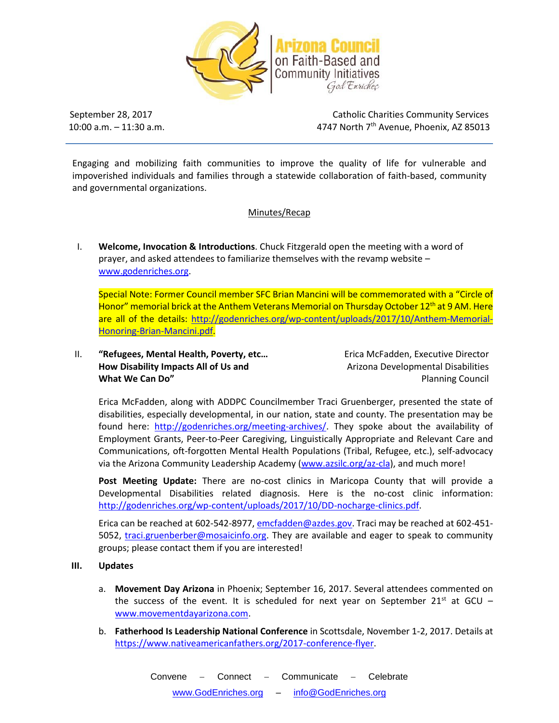

 $10:00$  a.m.  $-11:30$  a.m.

September 28, 2017 **Catholic Charities Community Services** 4747 North 7<sup>th</sup> Avenue, Phoenix, AZ 85013

Engaging and mobilizing faith communities to improve the quality of life for vulnerable and impoverished individuals and families through a statewide collaboration of faith-based, community and governmental organizations.

## Minutes/Recap

I. **Welcome, Invocation & Introductions**. Chuck Fitzgerald open the meeting with a word of prayer, and asked attendees to familiarize themselves with the revamp website – [www.godenriches.org.](http://www.godenriches.org/)

Special Note: Former Council member SFC Brian Mancini will be commemorated with a "Circle of Honor" memorial brick at the Anthem Veterans Memorial on Thursday October 12<sup>th</sup> at 9 AM. Here are all of the details: [http://godenriches.org/wp-content/uploads/2017/10/Anthem-Memorial-](http://godenriches.org/wp-content/uploads/2017/10/Anthem-Memorial-Honoring-Brian-Mancini.pdf)[Honoring-Brian-Mancini.pdf.](http://godenriches.org/wp-content/uploads/2017/10/Anthem-Memorial-Honoring-Brian-Mancini.pdf)

II. **"Refugees, Mental Health, Poverty, etc...** Erica McFadden, Executive Director **How Disability Impacts All of Us and Manufath Disabilities Arizona Developmental Disabilities What We Can Do**<sup>"</sup> **Planning Council Planning Council Planning Council** 

Erica McFadden, along with ADDPC Councilmember Traci Gruenberger, presented the state of disabilities, especially developmental, in our nation, state and county. The presentation may be found here: [http://godenriches.org/meeting-archives/.](http://godenriches.org/meeting-archives/) They spoke about the availability of Employment Grants, Peer-to-Peer Caregiving, Linguistically Appropriate and Relevant Care and Communications, oft-forgotten Mental Health Populations (Tribal, Refugee, etc.), self-advocacy via the Arizona Community Leadership Academy [\(www.azsilc.org/az-cla\)](http://www.azsilc.org/az-cla), and much more!

**Post Meeting Update:** There are no-cost clinics in Maricopa County that will provide a Developmental Disabilities related diagnosis. Here is the no-cost clinic information: [http://godenriches.org/wp-content/uploads/2017/10/DD-nocharge-clinics.pdf.](http://godenriches.org/wp-content/uploads/2017/10/DD-nocharge-clinics.pdf)

Erica can be reached at 602-542-8977[, emcfadden@azdes.gov.](mailto:emcfadden@azdes.gov) Traci may be reached at 602-451 5052, [traci.gruenberber@mosaicinfo.org.](mailto:traci.gruenberber@mosaicinfo.org) They are available and eager to speak to community groups; please contact them if you are interested!

- **III. Updates**
	- a. **Movement Day Arizona** in Phoenix; September 16, 2017. Several attendees commented on the success of the event. It is scheduled for next year on September 21<sup>st</sup> at GCU – [www.movementdayarizona.com.](http://www.movementdayarizona.com/)
	- b. **Fatherhood Is Leadership National Conference** in Scottsdale, November 1-2, 2017. Details at [https://www.nativeamericanfathers.org/2017-conference-flyer.](https://www.nativeamericanfathers.org/2017-conference-flyer)